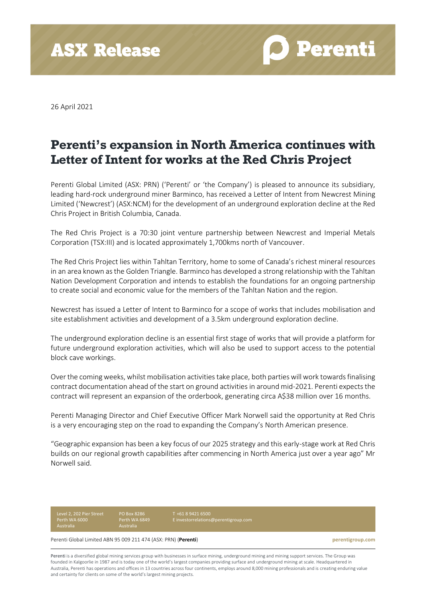**ASX Release** 

**Perenti** 

26 April 2021

## **Perenti's expansion in North America continues with Letter of Intent for works at the Red Chris Project**

Perenti Global Limited (ASX: PRN) ('Perenti' or 'the Company') is pleased to announce its subsidiary, leading hard-rock underground miner Barminco, has received a Letter of Intent from Newcrest Mining Limited ('Newcrest') (ASX:NCM) for the development of an underground exploration decline at the Red Chris Project in British Columbia, Canada.

The Red Chris Project is a 70:30 joint venture partnership between Newcrest and Imperial Metals Corporation (TSX:III) and is located approximately 1,700kms north of Vancouver.

The Red Chris Project lies within Tahltan Territory, home to some of Canada's richest mineral resources in an area known as the Golden Triangle. Barminco has developed a strong relationship with the Tahltan Nation Development Corporation and intends to establish the foundations for an ongoing partnership to create social and economic value for the members of the Tahltan Nation and the region.

Newcrest has issued a Letter of Intent to Barminco for a scope of works that includes mobilisation and site establishment activities and development of a 3.5km underground exploration decline.

The underground exploration decline is an essential first stage of works that will provide a platform for future underground exploration activities, which will also be used to support access to the potential block cave workings.

Over the coming weeks, whilst mobilisation activities take place, both parties will work towards finalising contract documentation ahead of the start on ground activities in around mid-2021. Perenti expects the contract will represent an expansion of the orderbook, generating circa A\$38 million over 16 months.

Perenti Managing Director and Chief Executive Officer Mark Norwell said the opportunity at Red Chris is a very encouraging step on the road to expanding the Company's North American presence.

"Geographic expansion has been a key focus of our 2025 strategy and this early-stage work at Red Chris builds on our regional growth capabilities after commencing in North America just over a year ago" Mr Norwell said.

Level 2, 202 Pier Street Perth WA 6000 Australia

PO Box 8286 Perth WA 6849

T +61 8 9421 6500 [E investorrelations@perentigroup.com](about:blank)

Perenti Global Limited ABN 95 009 211 474 (ASX: PRN) (**Perenti**) **perentigroup.com**

Perenti is a diversified global mining services group with businesses in surface mining, underground mining and mining support services. The Group was founded in Kalgoorlie in 1987 and is today one of the world's largest companies providing surface and underground mining at scale. Headquartered in Australia, Perenti has operations and offices in 13 countries across four continents, employs around 8,000 mining professionals and is creating enduring value and certainty for clients on some of the world's largest mining projects.